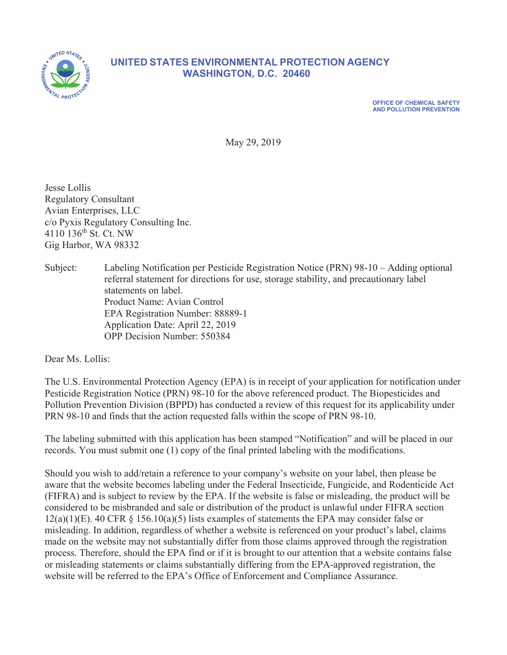

# **874, 874, 874, 874, 874 INITED STATES ENVIRONMENTAL PROTECTION AGENCY WASHINGTON, D.C. 20460**

**2) OFFICE OF CHEMICAL SAFETY AND POLLUTION PREVENTION** 

May 29, 2019

Jesse Lollis Regulatory Consultant Avian Enterprises, LLC  $c$ o Pyxis Regulatory Consulting Inc. 4110 136<sup>th</sup> St. Ct. NW Gig Harbor, WA 98332

Subject: Labeling Notification per Pesticide Registration Notice (PRN) 98-10 – Adding optional referral statement for directions for use, storage stability, and precautionary label statements on label. Product Name: Avian Control EPA Registration Number: 88889-1 Application Date: April 22, 2019 OPP Decision Number: 550384

Dear Ms. Lollis:

The U.S. Environmental Protection Agency (EPA) is in receipt of your application for notification under Pesticide Registration Notice (PRN) 98-10 for the above referenced product. The Biopesticides and Pollution Prevention Division (BPPD) has conducted a review of this request for its applicability under PRN 98-10 and finds that the action requested falls within the scope of PRN 98-10.

The labeling submitted with this application has been stamped "Notification" and will be placed in our records. You must submit one  $(1)$  copy of the final printed labeling with the modifications.

Should you wish to add/retain a reference to your company's website on your label, then please be aware that the website becomes labeling under the Federal Insecticide, Fungicide, and Rodenticide Act (FIFRA) and is subject to review by the EPA. If the website is false or misleading, the product will be considered to be misbranded and sale or distribution of the product is unlawful under FIFRA section  $12(a)(1)(E)$ . 40 CFR § 156.10(a)(5) lists examples of statements the EPA may consider false or misleading. In addition, regardless of whether a website is referenced on your product's label, claims made on the website may not substantially differ from those claims approved through the registration process. Therefore, should the EPA find or if it is brought to our attention that a website contains false or misleading statements or claims substantially differing from the EPA-approved registration, the website will be referred to the EPA's Office of Enforcement and Compliance Assurance.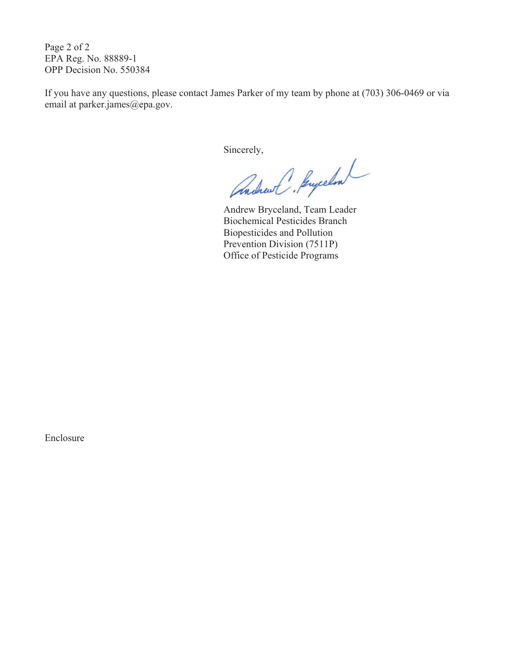Page 2 of 2 EPA Reg. No. 88889-1 OPP Decision No. 550384

If you have any questions, please contact James Parker of my team by phone at (703) 306-0469 or via email at parker.james@epa.gov.

Sincerely,

Andrew Bryceland, Team Leader Biochemical Pesticides Branch Biopesticides and Pollution Prevention Division (7511P) Office of Pesticide Programs

Enclosure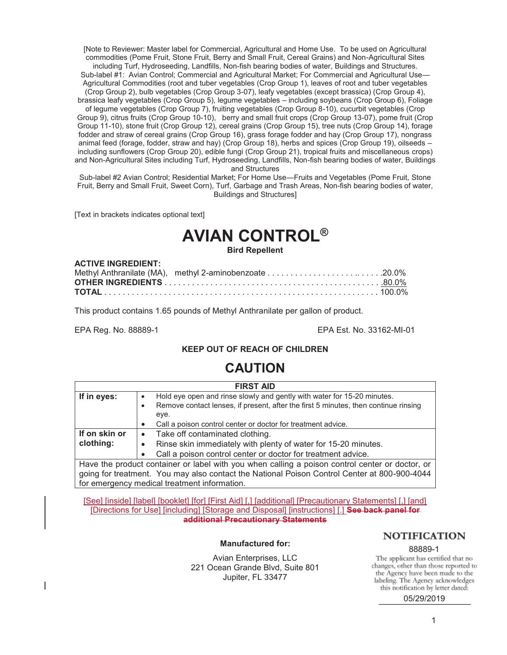[Note to Reviewer: Master label for Commercial, Agricultural and Home Use. To be used on Agricultural commodities (Pome Fruit, Stone Fruit, Berry and Small Fruit, Cereal Grains) and Non-Agricultural Sites including Turf, Hydroseeding, Landfills, Non-fish bearing bodies of water, Buildings and Structures. Sub-label #1: Avian Control; Commercial and Agricultural Market; For Commercial and Agricultural Use— Agricultural Commodities (root and tuber vegetables (Crop Group 1), leaves of root and tuber vegetables (Crop Group 2), bulb vegetables (Crop Group 3-07), leafy vegetables (except brassica) (Crop Group 4), brassica leafy vegetables (Crop Group 5), legume vegetables – including soybeans (Crop Group 6), Foliage of legume vegetables (Crop Group 7), fruiting vegetables (Crop Group 8-10), cucurbit vegetables (Crop Group 9), citrus fruits (Crop Group 10-10), berry and small fruit crops (Crop Group 13-07), pome fruit (Crop Group 11-10), stone fruit (Crop Group 12), cereal grains (Crop Group 15), tree nuts (Crop Group 14), forage fodder and straw of cereal grains (Crop Group 16), grass forage fodder and hay (Crop Group 17), nongrass animal feed (forage, fodder, straw and hay) (Crop Group 18), herbs and spices (Crop Group 19), oilseeds – including sunflowers (Crop Group 20), edible fungi (Crop Group 21), tropical fruits and miscellaneous crops) and Non-Agricultural Sites including Turf, Hydroseeding, Landfills, Non-fish bearing bodies of water, Buildings and Structures

Sub-label #2 Avian Control; Residential Market; For Home Use—Fruits and Vegetables (Pome Fruit, Stone Fruit, Berry and Small Fruit, Sweet Corn), Turf, Garbage and Trash Areas, Non-fish bearing bodies of water, Buildings and Structures]

[Text in brackets indicates optional text]

## **AVIAN CONTROL® Bird Repellent**

#### **ACTIVE INGREDIENT:**

This product contains 1.65 pounds of Methyl Anthranilate per gallon of product.

EPA Reg. No. 88889-1 EPA Est. No. 33162-MI-01

#### **KEEP OUT OF REACH OF CHILDREN**

# **CAUTION**

| <b>FIRST AID</b>                                                                                |                                                                                     |  |
|-------------------------------------------------------------------------------------------------|-------------------------------------------------------------------------------------|--|
| If in eyes:                                                                                     | Hold eye open and rinse slowly and gently with water for 15-20 minutes.             |  |
|                                                                                                 | Remove contact lenses, if present, after the first 5 minutes, then continue rinsing |  |
|                                                                                                 | eye.                                                                                |  |
|                                                                                                 | Call a poison control center or doctor for treatment advice.<br>$\bullet$           |  |
| If on skin or                                                                                   | Take off contaminated clothing.<br>$\bullet$                                        |  |
| clothing:                                                                                       | Rinse skin immediately with plenty of water for 15-20 minutes.                      |  |
|                                                                                                 | Call a poison control center or doctor for treatment advice.                        |  |
| Have the product container or label with you when calling a poison control center or doctor, or |                                                                                     |  |
|                                                                                                 |                                                                                     |  |

going for treatment. You may also contact the National Poison Control Center at 800-900-4044 for emergency medical treatment information.

[See] [inside] [label] [booklet] [for] [First Aid] [,] [additional] [Precautionary Statements] [,] [and] [Directions for Use] [including] [Storage and Disposal] [instructions] [.] **See back panel for additional Precautionary Statements** 

#### **Manufactured for:**

Avian Enterprises, LLC 221 Ocean Grande Blvd, Suite 801 Jupiter, FL 33477

#### **NOTIFICATION**

8889-1<br>The applicant has certified that no changes, other than those reported to the Agency have been made to the labeling. The Agency acknowledges this notification by letter dated:

05/29/2019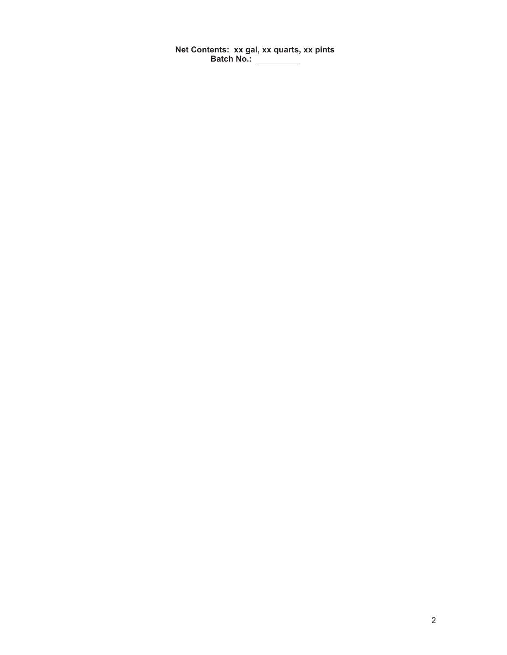**Net Contents: xx gal, xx quarts, xx pints Batch No.:**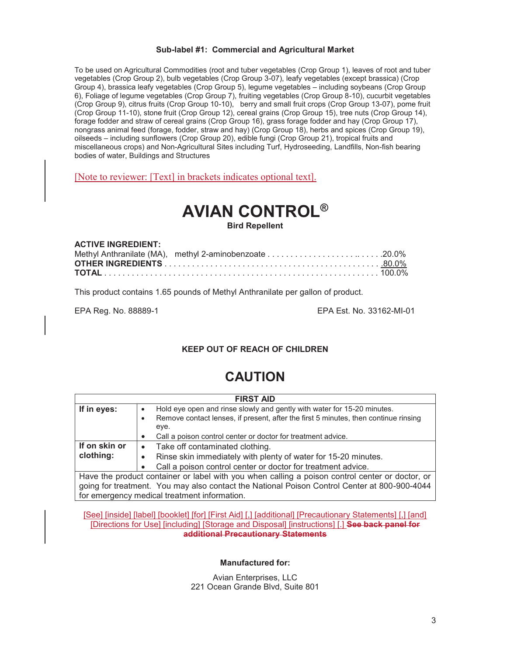#### **Sub-label #1: Commercial and Agricultural Market**

To be used on Agricultural Commodities (root and tuber vegetables (Crop Group 1), leaves of root and tuber vegetables (Crop Group 2), bulb vegetables (Crop Group 3-07), leafy vegetables (except brassica) (Crop Group 4), brassica leafy vegetables (Crop Group 5), legume vegetables – including soybeans (Crop Group 6), Foliage of legume vegetables (Crop Group 7), fruiting vegetables (Crop Group 8-10), cucurbit vegetables (Crop Group 9), citrus fruits (Crop Group 10-10), berry and small fruit crops (Crop Group 13-07), pome fruit (Crop Group 11-10), stone fruit (Crop Group 12), cereal grains (Crop Group 15), tree nuts (Crop Group 14), forage fodder and straw of cereal grains (Crop Group 16), grass forage fodder and hay (Crop Group 17), nongrass animal feed (forage, fodder, straw and hay) (Crop Group 18), herbs and spices (Crop Group 19), oilseeds – including sunflowers (Crop Group 20), edible fungi (Crop Group 21), tropical fruits and miscellaneous crops) and Non-Agricultural Sites including Turf, Hydroseeding, Landfills, Non-fish bearing bodies of water, Buildings and Structures

[Note to reviewer: [Text] in brackets indicates optional text].

# **AVIAN CONTROL®**

**Bird Repellent** 

| <b>ACTIVE INGREDIENT:</b> |  |
|---------------------------|--|
|                           |  |
|                           |  |
|                           |  |

This product contains 1.65 pounds of Methyl Anthranilate per gallon of product.

EPA Reg. No. 88889-1 EPA Est. No. 33162-MI-01

#### **KEEP OUT OF REACH OF CHILDREN**

# **CAUTION**

| <b>FIRST AID</b> |                                                                                                 |  |
|------------------|-------------------------------------------------------------------------------------------------|--|
| If in eyes:      | Hold eye open and rinse slowly and gently with water for 15-20 minutes.                         |  |
|                  | Remove contact lenses, if present, after the first 5 minutes, then continue rinsing<br>٠        |  |
|                  | eye.                                                                                            |  |
|                  | Call a poison control center or doctor for treatment advice.                                    |  |
| If on skin or    | Take off contaminated clothing.<br>$\bullet$                                                    |  |
| clothing:        | Rinse skin immediately with plenty of water for 15-20 minutes.                                  |  |
|                  | Call a poison control center or doctor for treatment advice.                                    |  |
|                  | Have the product container or label with you when calling a poison control center or doctor, or |  |

going for treatment. You may also contact the National Poison Control Center at 800-900-4044 for emergency medical treatment information.

[See] [inside] [label] [booklet] [for] [First Aid] [,] [additional] [Precautionary Statements] [,] [and] [Directions for Use] [including] [Storage and Disposal] [instructions] [.] **See back panel for additional Precautionary Statements** 

**Manufactured for:** 

Avian Enterprises, LLC 221 Ocean Grande Blvd, Suite 801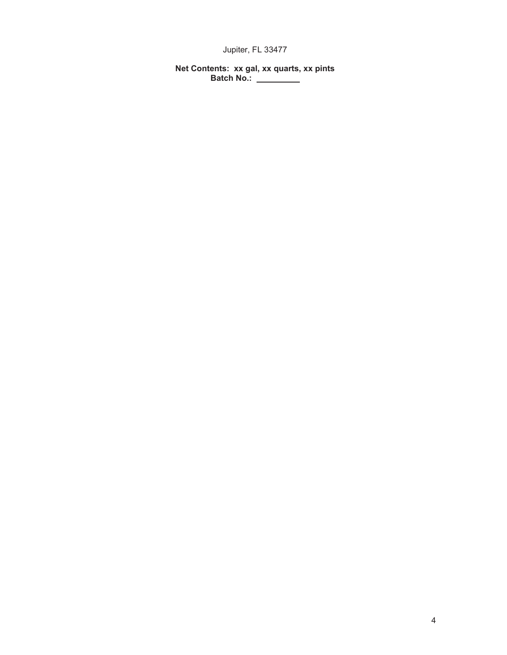Jupiter, FL 33477

**Net Contents: xx gal, xx quarts, xx pints Batch No.:**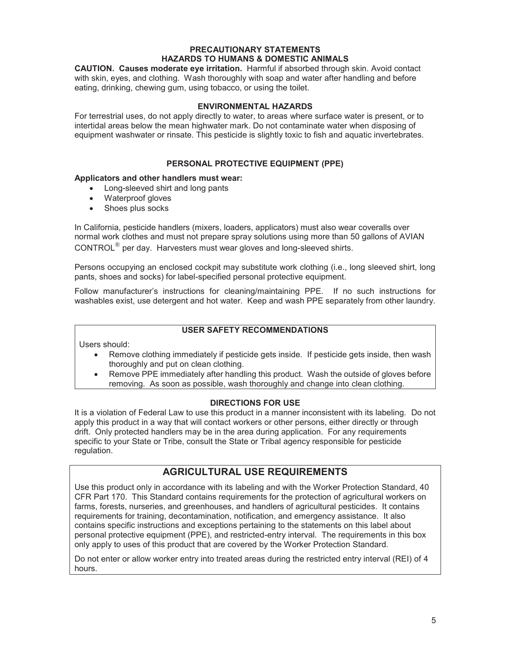#### **PRECAUTIONARY STATEMENTS HAZARDS TO HUMANS & DOMESTIC ANIMALS**

**CAUTION. Causes moderate eye irritation.** Harmful if absorbed through skin. Avoid contact with skin, eyes, and clothing. Wash thoroughly with soap and water after handling and before eating, drinking, chewing gum, using tobacco, or using the toilet.

#### **ENVIRONMENTAL HAZARDS**

For terrestrial uses, do not apply directly to water, to areas where surface water is present, or to intertidal areas below the mean highwater mark. Do not contaminate water when disposing of equipment washwater or rinsate. This pesticide is slightly toxic to fish and aquatic invertebrates.

#### **PERSONAL PROTECTIVE EQUIPMENT (PPE)**

#### **Applicators and other handlers must wear:**

- Long-sleeved shirt and long pants
- Waterproof gloves
- Shoes plus socks

In California, pesticide handlers (mixers, loaders, applicators) must also wear coveralls over normal work clothes and must not prepare spray solutions using more than 50 gallons of AVIAN CONTROL® per day. Harvesters must wear gloves and long-sleeved shirts.

Persons occupying an enclosed cockpit may substitute work clothing (i.e., long sleeved shirt, long pants, shoes and socks) for label-specified personal protective equipment.

Follow manufacturer's instructions for cleaning/maintaining PPE. If no such instructions for washables exist, use detergent and hot water. Keep and wash PPE separately from other laundry.

#### **USER SAFETY RECOMMENDATIONS**

Users should:

- Remove clothing immediately if pesticide gets inside. If pesticide gets inside, then wash thoroughly and put on clean clothing.
- Remove PPE immediately after handling this product. Wash the outside of gloves before removing. As soon as possible, wash thoroughly and change into clean clothing.

#### **DIRECTIONS FOR USE**

It is a violation of Federal Law to use this product in a manner inconsistent with its labeling. Do not apply this product in a way that will contact workers or other persons, either directly or through drift. Only protected handlers may be in the area during application. For any requirements specific to your State or Tribe, consult the State or Tribal agency responsible for pesticide regulation.

#### **AGRICULTURAL USE REQUIREMENTS**

Use this product only in accordance with its labeling and with the Worker Protection Standard, 40 CFR Part 170. This Standard contains requirements for the protection of agricultural workers on farms, forests, nurseries, and greenhouses, and handlers of agricultural pesticides. It contains requirements for training, decontamination, notification, and emergency assistance. It also contains specific instructions and exceptions pertaining to the statements on this label about personal protective equipment (PPE), and restricted-entry interval. The requirements in this box only apply to uses of this product that are covered by the Worker Protection Standard.

Do not enter or allow worker entry into treated areas during the restricted entry interval (REI) of 4 hours.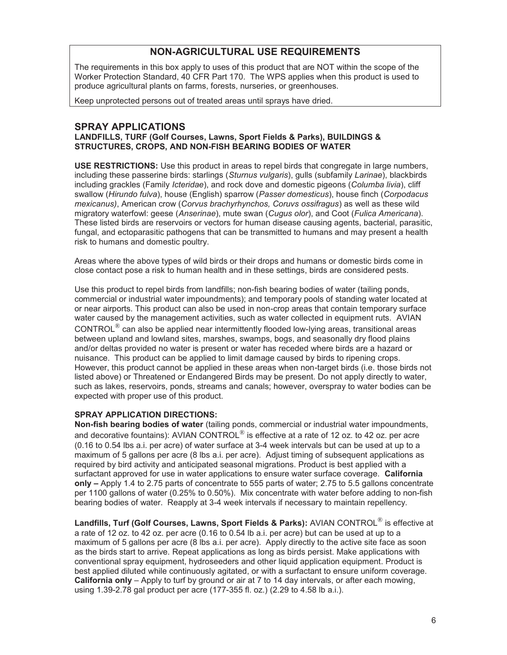### **NON-AGRICULTURAL USE REQUIREMENTS**

The requirements in this box apply to uses of this product that are NOT within the scope of the Worker Protection Standard, 40 CFR Part 170. The WPS applies when this product is used to produce agricultural plants on farms, forests, nurseries, or greenhouses.

Keep unprotected persons out of treated areas until sprays have dried.

#### **SPRAY APPLICATIONS**

#### **LANDFILLS, TURF (Golf Courses, Lawns, Sport Fields & Parks), BUILDINGS & STRUCTURES, CROPS, AND NON-FISH BEARING BODIES OF WATER**

**USE RESTRICTIONS:** Use this product in areas to repel birds that congregate in large numbers, including these passerine birds: starlings (*Sturnus vulgaris*), gulls (subfamily *Larinae*), blackbirds including grackles (Family *Icteridae*), and rock dove and domestic pigeons (*Columba livia*), cliff swallow (*Hirundo fulva*), house (English) sparrow (*Passer domesticus*), house finch (*Corpodacus mexicanus)*, American crow (*Corvus brachyrhynchos, Coruvs ossifragus*) as well as these wild migratory waterfowl: geese (*Anserinae*), mute swan (*Cugus olor*), and Coot (*Fulica Americana*). These listed birds are reservoirs or vectors for human disease causing agents, bacterial, parasitic, fungal, and ectoparasitic pathogens that can be transmitted to humans and may present a health risk to humans and domestic poultry.

Areas where the above types of wild birds or their drops and humans or domestic birds come in close contact pose a risk to human health and in these settings, birds are considered pests.

Use this product to repel birds from landfills; non-fish bearing bodies of water (tailing ponds, commercial or industrial water impoundments); and temporary pools of standing water located at or near airports. This product can also be used in non-crop areas that contain temporary surface water caused by the management activities, such as water collected in equipment ruts. AVIAN CONTROL® can also be applied near intermittently flooded low-lying areas, transitional areas between upland and lowland sites, marshes, swamps, bogs, and seasonally dry flood plains and/or deltas provided no water is present or water has receded where birds are a hazard or nuisance. This product can be applied to limit damage caused by birds to ripening crops. However, this product cannot be applied in these areas when non-target birds (i.e. those birds not listed above) or Threatened or Endangered Birds may be present. Do not apply directly to water, such as lakes, reservoirs, ponds, streams and canals; however, overspray to water bodies can be expected with proper use of this product.

#### **SPRAY APPLICATION DIRECTIONS:**

**Non-fish bearing bodies of water** (tailing ponds, commercial or industrial water impoundments, and decorative fountains): AVIAN CONTROL $^{\circledR}$  is effective at a rate of 12 oz. to 42 oz. per acre (0.16 to 0.54 lbs a.i. per acre) of water surface at 3-4 week intervals but can be used at up to a maximum of 5 gallons per acre (8 lbs a.i. per acre). Adjust timing of subsequent applications as required by bird activity and anticipated seasonal migrations. Product is best applied with a surfactant approved for use in water applications to ensure water surface coverage. **California only –** Apply 1.4 to 2.75 parts of concentrate to 555 parts of water; 2.75 to 5.5 gallons concentrate per 1100 gallons of water (0.25% to 0.50%). Mix concentrate with water before adding to non-fish bearing bodies of water. Reapply at 3-4 week intervals if necessary to maintain repellency.

**Landfills, Turf (Golf Courses, Lawns, Sport Fields & Parks):** AVIAN CONTROL® is effective at a rate of 12 oz. to 42 oz. per acre (0.16 to 0.54 lb a.i. per acre) but can be used at up to a maximum of 5 gallons per acre (8 lbs a.i. per acre). Apply directly to the active site face as soon as the birds start to arrive. Repeat applications as long as birds persist. Make applications with conventional spray equipment, hydroseeders and other liquid application equipment. Product is best applied diluted while continuously agitated, or with a surfactant to ensure uniform coverage. **California only** – Apply to turf by ground or air at 7 to 14 day intervals, or after each mowing, using 1.39-2.78 gal product per acre (177-355 fl. oz.) (2.29 to 4.58 lb a.i.).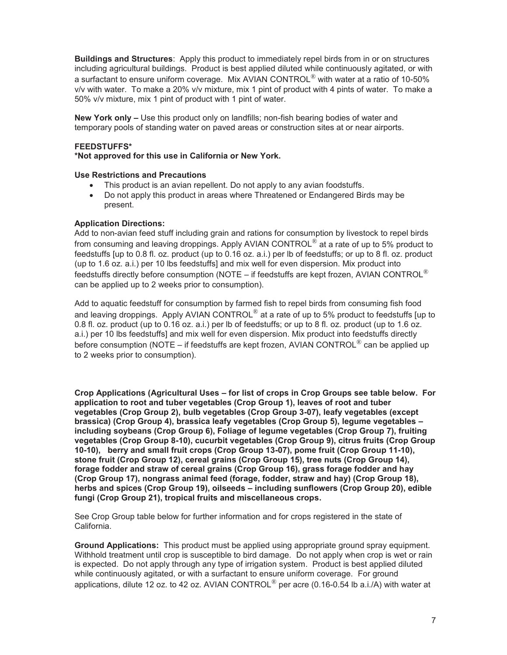**Buildings and Structures**: Apply this product to immediately repel birds from in or on structures including agricultural buildings. Product is best applied diluted while continuously agitated, or with a surfactant to ensure uniform coverage.Mix AVIAN CONTROL® with water at a ratio of 10-50% v/v with water. To make a 20% v/v mixture, mix 1 pint of product with 4 pints of water. To make a 50% v/v mixture, mix 1 pint of product with 1 pint of water.

**New York only –** Use this product only on landfills; non-fish bearing bodies of water and temporary pools of standing water on paved areas or construction sites at or near airports.

#### **FEEDSTUFFS\***

#### **\*Not approved for this use in California or New York.**

#### **Use Restrictions and Precautions**

- This product is an avian repellent. Do not apply to any avian foodstuffs.
- Do not apply this product in areas where Threatened or Endangered Birds may be present.

#### **Application Directions:**

Add to non-avian feed stuff including grain and rations for consumption by livestock to repel birds from consuming and leaving droppings. Apply AVIAN CONTROL $^{\circledR}$  at a rate of up to 5% product to feedstuffs [up to 0.8 fl. oz. product (up to 0.16 oz. a.i.) per lb of feedstuffs; or up to 8 fl. oz. product (up to 1.6 oz. a.i.) per 10 lbs feedstuffs] and mix well for even dispersion. Mix product into feedstuffs directly before consumption (NOTE – if feedstuffs are kept frozen, AVIAN CONTROL $^{\circledR}$ can be applied up to 2 weeks prior to consumption).

Add to aquatic feedstuff for consumption by farmed fish to repel birds from consuming fish food and leaving droppings. Apply AVIAN CONTROL $^{\circledR}$  at a rate of up to 5% product to feedstuffs [up to 0.8 fl. oz. product (up to 0.16 oz. a.i.) per lb of feedstuffs; or up to 8 fl. oz. product (up to 1.6 oz. a.i.) per 10 lbs feedstuffs] and mix well for even dispersion. Mix product into feedstuffs directly before consumption (NOTE – if feedstuffs are kept frozen, AVIAN CONTROL<sup>®</sup> can be applied up to 2 weeks prior to consumption).

**Crop Applications (Agricultural Uses – for list of crops in Crop Groups see table below. For application to root and tuber vegetables (Crop Group 1), leaves of root and tuber vegetables (Crop Group 2), bulb vegetables (Crop Group 3-07), leafy vegetables (except brassica) (Crop Group 4), brassica leafy vegetables (Crop Group 5), legume vegetables – including soybeans (Crop Group 6), Foliage of legume vegetables (Crop Group 7), fruiting vegetables (Crop Group 8-10), cucurbit vegetables (Crop Group 9), citrus fruits (Crop Group 10-10), berry and small fruit crops (Crop Group 13-07), pome fruit (Crop Group 11-10), stone fruit (Crop Group 12), cereal grains (Crop Group 15), tree nuts (Crop Group 14), forage fodder and straw of cereal grains (Crop Group 16), grass forage fodder and hay (Crop Group 17), nongrass animal feed (forage, fodder, straw and hay) (Crop Group 18), herbs and spices (Crop Group 19), oilseeds – including sunflowers (Crop Group 20), edible fungi (Crop Group 21), tropical fruits and miscellaneous crops.** 

See Crop Group table below for further information and for crops registered in the state of California.

**Ground Applications:** This product must be applied using appropriate ground spray equipment. Withhold treatment until crop is susceptible to bird damage. Do not apply when crop is wet or rain is expected. Do not apply through any type of irrigation system. Product is best applied diluted while continuously agitated, or with a surfactant to ensure uniform coverage.For ground applications, dilute 12 oz. to 42 oz. AVIAN CONTROL<sup>®</sup> per acre (0.16-0.54 lb a.i./A) with water at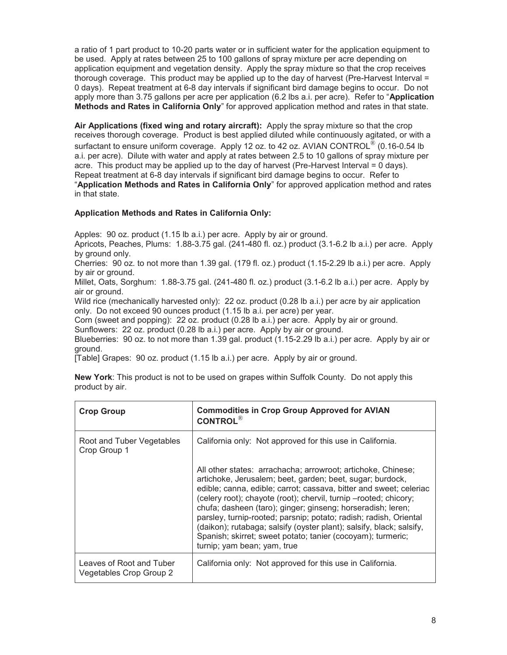a ratio of 1 part product to 10-20 parts water or in sufficient water for the application equipment to be used. Apply at rates between 25 to 100 gallons of spray mixture per acre depending on application equipment and vegetation density. Apply the spray mixture so that the crop receives thorough coverage. This product may be applied up to the day of harvest (Pre-Harvest Interval = 0 days). Repeat treatment at 6-8 day intervals if significant bird damage begins to occur. Do not apply more than 3.75 gallons per acre per application (6.2 lbs a.i. per acre). Refer to "**Application Methods and Rates in California Only**" for approved application method and rates in that state.

**Air Applications (fixed wing and rotary aircraft):** Apply the spray mixture so that the crop receives thorough coverage. Product is best applied diluted while continuously agitated, or with a surfactant to ensure uniform coverage. Apply 12 oz. to 42 oz. AVIAN CONTROL<sup>®</sup> (0.16-0.54 lb a.i. per acre). Dilute with water and apply at rates between 2.5 to 10 gallons of spray mixture per acre. This product may be applied up to the day of harvest (Pre-Harvest Interval = 0 days). Repeat treatment at 6-8 day intervals if significant bird damage begins to occur. Refer to "**Application Methods and Rates in California Only**" for approved application method and rates in that state.

#### **Application Methods and Rates in California Only:**

Apples: 90 oz. product (1.15 lb a.i.) per acre. Apply by air or ground.

Apricots, Peaches, Plums: 1.88-3.75 gal. (241-480 fl. oz.) product (3.1-6.2 lb a.i.) per acre. Apply by ground only.

Cherries: 90 oz. to not more than 1.39 gal. (179 fl. oz.) product (1.15-2.29 lb a.i.) per acre. Apply by air or ground.

Millet, Oats, Sorghum: 1.88-3.75 gal. (241-480 fl. oz.) product (3.1-6.2 lb a.i.) per acre. Apply by air or ground.

Wild rice (mechanically harvested only): 22 oz. product (0.28 lb a.i.) per acre by air application only. Do not exceed 90 ounces product (1.15 lb a.i. per acre) per year.

Corn (sweet and popping): 22 oz. product (0.28 lb a.i.) per acre. Apply by air or ground.

Sunflowers: 22 oz. product (0.28 lb a.i.) per acre. Apply by air or ground.

Blueberries: 90 oz. to not more than 1.39 gal. product (1.15-2.29 lb a.i.) per acre. Apply by air or ground.

[Table] Grapes: 90 oz. product (1.15 lb a.i.) per acre. Apply by air or ground.

| <b>New York:</b> This product is not to be used on grapes within Suffolk County. Do not apply this |  |
|----------------------------------------------------------------------------------------------------|--|
| product by air.                                                                                    |  |

| <b>Crop Group</b>                                   | <b>Commodities in Crop Group Approved for AVIAN</b><br><b>CONTROL®</b>                                                                                                                                                                                                                                                                                                                                                                                                                                                                                                        |
|-----------------------------------------------------|-------------------------------------------------------------------------------------------------------------------------------------------------------------------------------------------------------------------------------------------------------------------------------------------------------------------------------------------------------------------------------------------------------------------------------------------------------------------------------------------------------------------------------------------------------------------------------|
| Root and Tuber Vegetables<br>Crop Group 1           | California only: Not approved for this use in California.                                                                                                                                                                                                                                                                                                                                                                                                                                                                                                                     |
|                                                     | All other states: arrachacha; arrowroot; artichoke, Chinese;<br>artichoke, Jerusalem; beet, garden; beet, sugar; burdock,<br>edible; canna, edible; carrot; cassava, bitter and sweet; celeriac<br>(celery root); chayote (root); chervil, turnip -rooted; chicory;<br>chufa; dasheen (taro); ginger; ginseng; horseradish; leren;<br>parsley, turnip-rooted; parsnip; potato; radish; radish, Oriental<br>(daikon); rutabaga; salsify (oyster plant); salsify, black; salsify,<br>Spanish; skirret; sweet potato; tanier (cocoyam); turmeric;<br>turnip; yam bean; yam, true |
| Leaves of Root and Tuber<br>Vegetables Crop Group 2 | California only: Not approved for this use in California.                                                                                                                                                                                                                                                                                                                                                                                                                                                                                                                     |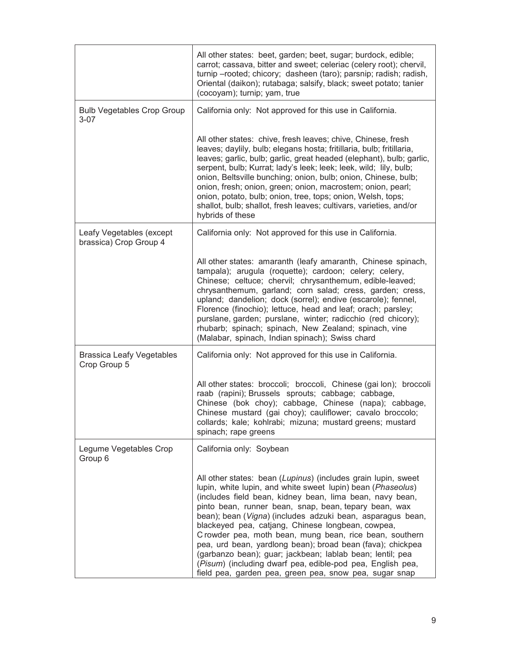|                                                    | All other states: beet, garden; beet, sugar; burdock, edible;<br>carrot; cassava, bitter and sweet; celeriac (celery root); chervil,<br>turnip-rooted; chicory; dasheen (taro); parsnip; radish; radish,<br>Oriental (daikon); rutabaga; salsify, black; sweet potato; tanier<br>(cocoyam); turnip; yam, true                                                                                                                                                                                                                                                                                                                                                                     |
|----------------------------------------------------|-----------------------------------------------------------------------------------------------------------------------------------------------------------------------------------------------------------------------------------------------------------------------------------------------------------------------------------------------------------------------------------------------------------------------------------------------------------------------------------------------------------------------------------------------------------------------------------------------------------------------------------------------------------------------------------|
| <b>Bulb Vegetables Crop Group</b><br>$3 - 07$      | California only: Not approved for this use in California.                                                                                                                                                                                                                                                                                                                                                                                                                                                                                                                                                                                                                         |
|                                                    | All other states: chive, fresh leaves; chive, Chinese, fresh<br>leaves; daylily, bulb; elegans hosta; fritillaria, bulb; fritillaria,<br>leaves; garlic, bulb; garlic, great headed (elephant), bulb; garlic,<br>serpent, bulb; Kurrat; lady's leek; leek; leek, wild; lily, bulb;<br>onion, Beltsville bunching; onion, bulb; onion, Chinese, bulb;<br>onion, fresh; onion, green; onion, macrostem; onion, pearl;<br>onion, potato, bulb; onion, tree, tops; onion, Welsh, tops;<br>shallot, bulb; shallot, fresh leaves; cultivars, varieties, and/or<br>hybrids of these                                                                                                      |
| Leafy Vegetables (except<br>brassica) Crop Group 4 | California only: Not approved for this use in California.                                                                                                                                                                                                                                                                                                                                                                                                                                                                                                                                                                                                                         |
|                                                    | All other states: amaranth (leafy amaranth, Chinese spinach,<br>tampala); arugula (roquette); cardoon; celery; celery,<br>Chinese; celtuce; chervil; chrysanthemum, edible-leaved;<br>chrysanthemum, garland; corn salad; cress, garden; cress,<br>upland; dandelion; dock (sorrel); endive (escarole); fennel,<br>Florence (finochio); lettuce, head and leaf; orach; parsley;<br>purslane, garden; purslane, winter; radicchio (red chicory);<br>rhubarb; spinach; spinach, New Zealand; spinach, vine<br>(Malabar, spinach, Indian spinach); Swiss chard                                                                                                                       |
| <b>Brassica Leafy Vegetables</b><br>Crop Group 5   | California only: Not approved for this use in California.                                                                                                                                                                                                                                                                                                                                                                                                                                                                                                                                                                                                                         |
|                                                    | All other states: broccoli; broccoli, Chinese (gai lon); broccoli<br>raab (rapini); Brussels sprouts; cabbage; cabbage,<br>Chinese (bok choy); cabbage, Chinese (napa); cabbage,<br>Chinese mustard (gai choy); cauliflower; cavalo broccolo;<br>collards; kale; kohlrabi; mizuna; mustard greens; mustard<br>spinach; rape greens                                                                                                                                                                                                                                                                                                                                                |
| Legume Vegetables Crop<br>Group 6                  | California only: Soybean                                                                                                                                                                                                                                                                                                                                                                                                                                                                                                                                                                                                                                                          |
|                                                    | All other states: bean (Lupinus) (includes grain lupin, sweet<br>lupin, white lupin, and white sweet lupin) bean (Phaseolus)<br>(includes field bean, kidney bean, lima bean, navy bean,<br>pinto bean, runner bean, snap, bean, tepary bean, wax<br>bean); bean (Vigna) (includes adzuki bean, asparagus bean,<br>blackeyed pea, catjang, Chinese longbean, cowpea,<br>Crowder pea, moth bean, mung bean, rice bean, southern<br>pea, urd bean, yardlong bean); broad bean (fava); chickpea<br>(garbanzo bean); guar; jackbean; lablab bean; lentil; pea<br>(Pisum) (including dwarf pea, edible-pod pea, English pea,<br>field pea, garden pea, green pea, snow pea, sugar snap |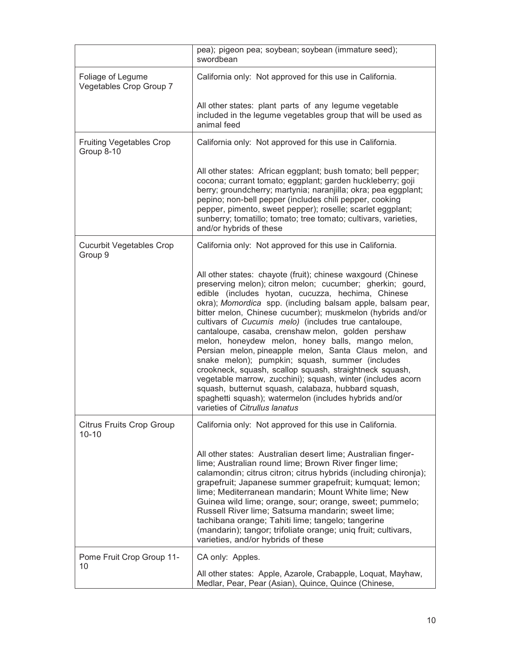|                                               | pea); pigeon pea; soybean; soybean (immature seed);<br>swordbean                                                                                                                                                                                                                                                                                                                                                                                                                                                                                                                                                                                                                                                                                                                                                                                                           |
|-----------------------------------------------|----------------------------------------------------------------------------------------------------------------------------------------------------------------------------------------------------------------------------------------------------------------------------------------------------------------------------------------------------------------------------------------------------------------------------------------------------------------------------------------------------------------------------------------------------------------------------------------------------------------------------------------------------------------------------------------------------------------------------------------------------------------------------------------------------------------------------------------------------------------------------|
| Foliage of Legume<br>Vegetables Crop Group 7  | California only: Not approved for this use in California.                                                                                                                                                                                                                                                                                                                                                                                                                                                                                                                                                                                                                                                                                                                                                                                                                  |
|                                               | All other states: plant parts of any legume vegetable<br>included in the legume vegetables group that will be used as<br>animal feed                                                                                                                                                                                                                                                                                                                                                                                                                                                                                                                                                                                                                                                                                                                                       |
| <b>Fruiting Vegetables Crop</b><br>Group 8-10 | California only: Not approved for this use in California.                                                                                                                                                                                                                                                                                                                                                                                                                                                                                                                                                                                                                                                                                                                                                                                                                  |
|                                               | All other states: African eggplant; bush tomato; bell pepper;<br>cocona; currant tomato; eggplant; garden huckleberry; goji<br>berry; groundcherry; martynia; naranjilla; okra; pea eggplant;<br>pepino; non-bell pepper (includes chili pepper, cooking<br>pepper, pimento, sweet pepper); roselle; scarlet eggplant;<br>sunberry; tomatillo; tomato; tree tomato; cultivars, varieties,<br>and/or hybrids of these                                                                                                                                                                                                                                                                                                                                                                                                                                                       |
| <b>Cucurbit Vegetables Crop</b><br>Group 9    | California only: Not approved for this use in California.                                                                                                                                                                                                                                                                                                                                                                                                                                                                                                                                                                                                                                                                                                                                                                                                                  |
|                                               | All other states: chayote (fruit); chinese waxgourd (Chinese<br>preserving melon); citron melon; cucumber; gherkin; gourd,<br>edible (includes hyotan, cucuzza, hechima, Chinese<br>okra); Momordica spp. (including balsam apple, balsam pear,<br>bitter melon, Chinese cucumber); muskmelon (hybrids and/or<br>cultivars of Cucumis melo) (includes true cantaloupe,<br>cantaloupe, casaba, crenshaw melon, golden pershaw<br>melon, honeydew melon, honey balls, mango melon,<br>Persian melon, pineapple melon, Santa Claus melon, and<br>snake melon); pumpkin; squash, summer (includes<br>crookneck, squash, scallop squash, straightneck squash,<br>vegetable marrow, zucchini); squash, winter (includes acorn<br>squash, butternut squash, calabaza, hubbard squash,<br>spaghetti squash); watermelon (includes hybrids and/or<br>varieties of Citrullus lanatus |
| <b>Citrus Fruits Crop Group</b><br>$10 - 10$  | California only: Not approved for this use in California.                                                                                                                                                                                                                                                                                                                                                                                                                                                                                                                                                                                                                                                                                                                                                                                                                  |
|                                               | All other states: Australian desert lime; Australian finger-<br>lime; Australian round lime; Brown River finger lime;<br>calamondin; citrus citron; citrus hybrids (including chironja);<br>grapefruit; Japanese summer grapefruit; kumquat; lemon;<br>lime; Mediterranean mandarin; Mount White lime; New<br>Guinea wild lime; orange, sour; orange, sweet; pummelo;<br>Russell River lime; Satsuma mandarin; sweet lime;<br>tachibana orange; Tahiti lime; tangelo; tangerine<br>(mandarin); tangor; trifoliate orange; uniq fruit; cultivars,<br>varieties, and/or hybrids of these                                                                                                                                                                                                                                                                                     |
| Pome Fruit Crop Group 11-                     | CA only: Apples.                                                                                                                                                                                                                                                                                                                                                                                                                                                                                                                                                                                                                                                                                                                                                                                                                                                           |
| 10                                            | All other states: Apple, Azarole, Crabapple, Loquat, Mayhaw,<br>Medlar, Pear, Pear (Asian), Quince, Quince (Chinese,                                                                                                                                                                                                                                                                                                                                                                                                                                                                                                                                                                                                                                                                                                                                                       |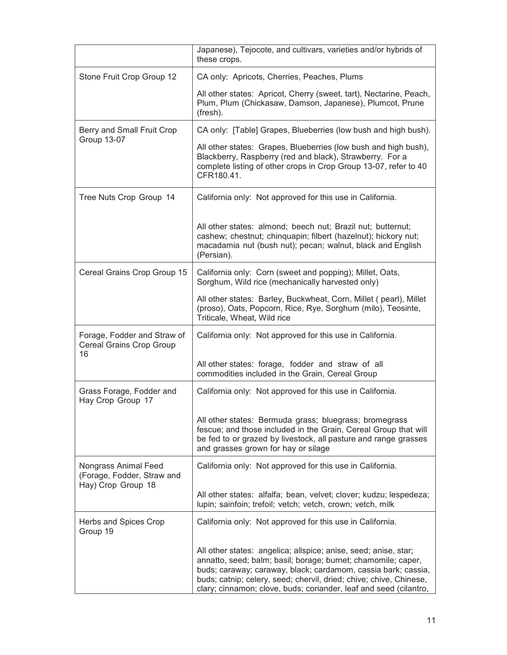|                                                                          | Japanese), Tejocote, and cultivars, varieties and/or hybrids of<br>these crops.                                                                                                                                                                                                                                                              |
|--------------------------------------------------------------------------|----------------------------------------------------------------------------------------------------------------------------------------------------------------------------------------------------------------------------------------------------------------------------------------------------------------------------------------------|
| Stone Fruit Crop Group 12                                                | CA only: Apricots, Cherries, Peaches, Plums                                                                                                                                                                                                                                                                                                  |
|                                                                          | All other states: Apricot, Cherry (sweet, tart), Nectarine, Peach,<br>Plum, Plum (Chickasaw, Damson, Japanese), Plumcot, Prune<br>(fresh).                                                                                                                                                                                                   |
| Berry and Small Fruit Crop<br><b>Group 13-07</b>                         | CA only: [Table] Grapes, Blueberries (low bush and high bush).                                                                                                                                                                                                                                                                               |
|                                                                          | All other states: Grapes, Blueberries (low bush and high bush),<br>Blackberry, Raspberry (red and black), Strawberry. For a<br>complete listing of other crops in Crop Group 13-07, refer to 40<br>CFR180.41.                                                                                                                                |
| Tree Nuts Crop Group 14                                                  | California only: Not approved for this use in California.                                                                                                                                                                                                                                                                                    |
|                                                                          | All other states: almond; beech nut; Brazil nut; butternut;<br>cashew; chestnut; chinquapin; filbert (hazelnut); hickory nut;<br>macadamia nut (bush nut); pecan; walnut, black and English<br>(Persian).                                                                                                                                    |
| Cereal Grains Crop Group 15                                              | California only: Corn (sweet and popping); Millet, Oats,<br>Sorghum, Wild rice (mechanically harvested only)                                                                                                                                                                                                                                 |
|                                                                          | All other states: Barley, Buckwheat, Corn, Millet (pearl), Millet<br>(proso), Oats, Popcorn, Rice, Rye, Sorghum (milo), Teosinte,<br>Triticale, Wheat, Wild rice                                                                                                                                                                             |
| Forage, Fodder and Straw of<br>Cereal Grains Crop Group<br>16            | California only: Not approved for this use in California.                                                                                                                                                                                                                                                                                    |
|                                                                          | All other states: forage, fodder and straw of all<br>commodities included in the Grain, Cereal Group                                                                                                                                                                                                                                         |
| Grass Forage, Fodder and<br>Hay Crop Group 17                            | California only: Not approved for this use in California.                                                                                                                                                                                                                                                                                    |
|                                                                          | All other states: Bermuda grass; bluegrass; bromegrass<br>fescue; and those included in the Grain, Cereal Group that will<br>be fed to or grazed by livestock, all pasture and range grasses<br>and grasses grown for hay or silage                                                                                                          |
| Nongrass Animal Feed<br>(Forage, Fodder, Straw and<br>Hay) Crop Group 18 | California only: Not approved for this use in California.                                                                                                                                                                                                                                                                                    |
|                                                                          | All other states: alfalfa; bean, velvet; clover; kudzu; lespedeza;<br>lupin; sainfoin; trefoil; vetch; vetch, crown; vetch, milk                                                                                                                                                                                                             |
| Herbs and Spices Crop<br>Group 19                                        | California only: Not approved for this use in California.                                                                                                                                                                                                                                                                                    |
|                                                                          | All other states: angelica; allspice; anise, seed; anise, star;<br>annatto, seed; balm; basil; borage; burnet; chamomile; caper,<br>buds; caraway; caraway, black; cardamom, cassia bark; cassia,<br>buds; catnip; celery, seed; chervil, dried; chive; chive, Chinese,<br>clary; cinnamon; clove, buds; coriander, leaf and seed (cilantro, |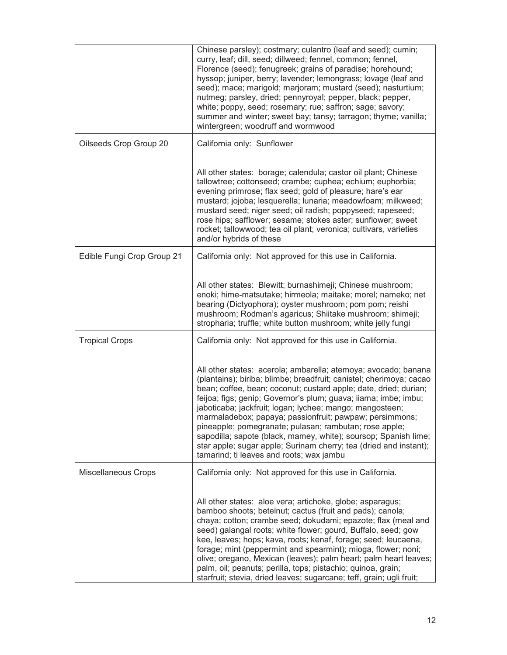|                            | Chinese parsley); costmary; culantro (leaf and seed); cumin;<br>curry, leaf; dill, seed; dillweed; fennel, common; fennel,<br>Florence (seed); fenugreek; grains of paradise; horehound;<br>hyssop; juniper, berry; lavender; lemongrass; lovage (leaf and<br>seed); mace; marigold; marjoram; mustard (seed); nasturtium;<br>nutmeg; parsley, dried; pennyroyal; pepper, black; pepper,<br>white; poppy, seed; rosemary; rue; saffron; sage; savory;<br>summer and winter; sweet bay; tansy; tarragon; thyme; vanilla;<br>wintergreen; woodruff and wormwood                                                                                     |
|----------------------------|---------------------------------------------------------------------------------------------------------------------------------------------------------------------------------------------------------------------------------------------------------------------------------------------------------------------------------------------------------------------------------------------------------------------------------------------------------------------------------------------------------------------------------------------------------------------------------------------------------------------------------------------------|
| Oilseeds Crop Group 20     | California only: Sunflower                                                                                                                                                                                                                                                                                                                                                                                                                                                                                                                                                                                                                        |
|                            | All other states: borage; calendula; castor oil plant; Chinese<br>tallowtree; cottonseed; crambe; cuphea; echium; euphorbia;<br>evening primrose; flax seed; gold of pleasure; hare's ear<br>mustard; jojoba; lesquerella; lunaria; meadowfoam; milkweed;<br>mustard seed; niger seed; oil radish; poppyseed; rapeseed;<br>rose hips; safflower; sesame; stokes aster; sunflower; sweet<br>rocket; tallowwood; tea oil plant; veronica; cultivars, varieties<br>and/or hybrids of these                                                                                                                                                           |
| Edible Fungi Crop Group 21 | California only: Not approved for this use in California.                                                                                                                                                                                                                                                                                                                                                                                                                                                                                                                                                                                         |
|                            | All other states: Blewitt; burnashimeji; Chinese mushroom;<br>enoki; hime-matsutake; hirmeola; maitake; morel; nameko; net<br>bearing (Dictyophora); oyster mushroom; pom pom; reishi<br>mushroom; Rodman's agaricus; Shiitake mushroom; shimeji;<br>stropharia; truffle; white button mushroom; white jelly fungi                                                                                                                                                                                                                                                                                                                                |
| <b>Tropical Crops</b>      | California only: Not approved for this use in California.                                                                                                                                                                                                                                                                                                                                                                                                                                                                                                                                                                                         |
|                            | All other states: acerola; ambarella; atemoya; avocado; banana<br>(plantains); biriba; blimbe; breadfruit; canistel; cherimoya; cacao<br>bean; coffee, bean; coconut; custard apple; date, dried; durian;<br>feijoa; figs; genip; Governor's plum; guava; iiama; imbe; imbu;<br>jaboticaba; jackfruit; logan; lychee; mango; mangosteen;<br>marmaladebox; papaya; passionfruit; pawpaw; persimmons;<br>pineapple; pomegranate; pulasan; rambutan; rose apple;<br>sapodilla; sapote (black, mamey, white); soursop; Spanish lime;<br>star apple; sugar apple; Surinam cherry; tea (dried and instant);<br>tamarind; ti leaves and roots; wax jambu |
| Miscellaneous Crops        | California only: Not approved for this use in California.                                                                                                                                                                                                                                                                                                                                                                                                                                                                                                                                                                                         |
|                            | All other states: aloe vera; artichoke, globe; asparagus;<br>bamboo shoots; betelnut; cactus (fruit and pads); canola;<br>chaya; cotton; crambe seed; dokudami; epazote; flax (meal and<br>seed) galangal roots; white flower; gourd, Buffalo, seed; gow<br>kee, leaves; hops; kava, roots; kenaf, forage; seed; leucaena,<br>forage; mint (peppermint and spearmint); mioga, flower; noni;<br>olive; oregano, Mexican (leaves); palm heart; palm heart leaves;<br>palm, oil; peanuts; perilla, tops; pistachio; quinoa, grain;<br>starfruit; stevia, dried leaves; sugarcane; teff, grain; ugli fruit;                                           |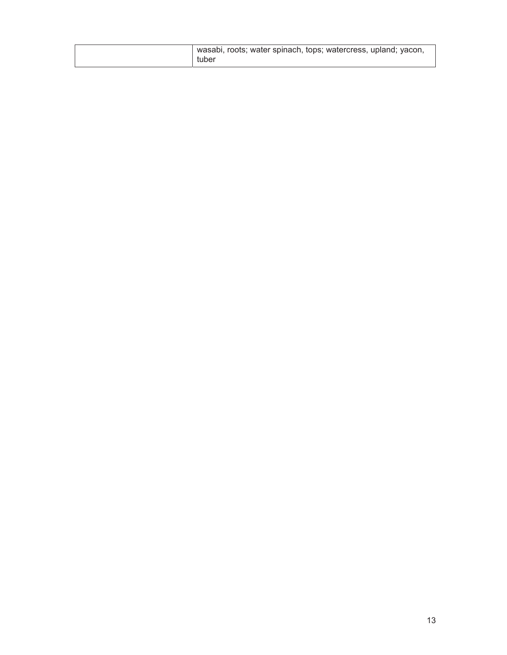| wasabi, roots; water spinach, tops; watercress, upland; yacon,<br>tuber |  |
|-------------------------------------------------------------------------|--|
|-------------------------------------------------------------------------|--|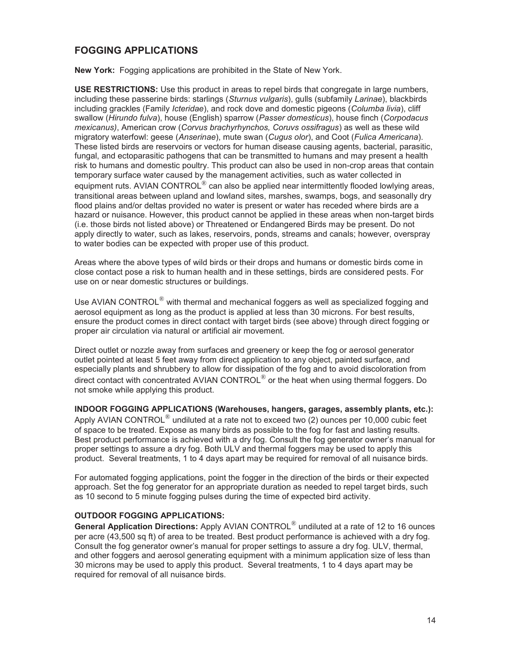## **FOGGING APPLICATIONS**

**New York:** Fogging applications are prohibited in the State of New York.

**USE RESTRICTIONS:** Use this product in areas to repel birds that congregate in large numbers, including these passerine birds: starlings (*Sturnus vulgaris*), gulls (subfamily *Larinae*), blackbirds including grackles (Family *Icteridae*), and rock dove and domestic pigeons (*Columba livia*), cliff swallow (*Hirundo fulva*), house (English) sparrow (*Passer domesticus*), house finch (*Corpodacus mexicanus)*, American crow (*Corvus brachyrhynchos, Coruvs ossifragus*) as well as these wild migratory waterfowl: geese (*Anserinae*), mute swan (*Cugus olor*), and Coot (*Fulica Americana*). These listed birds are reservoirs or vectors for human disease causing agents, bacterial, parasitic, fungal, and ectoparasitic pathogens that can be transmitted to humans and may present a health risk to humans and domestic poultry. This product can also be used in non-crop areas that contain temporary surface water caused by the management activities, such as water collected in equipment ruts. AVIAN CONTROL $^{\circledR}$  can also be applied near intermittently flooded lowlying areas, transitional areas between upland and lowland sites, marshes, swamps, bogs, and seasonally dry flood plains and/or deltas provided no water is present or water has receded where birds are a hazard or nuisance. However, this product cannot be applied in these areas when non-target birds (i.e. those birds not listed above) or Threatened or Endangered Birds may be present. Do not apply directly to water, such as lakes, reservoirs, ponds, streams and canals; however, overspray to water bodies can be expected with proper use of this product.

Areas where the above types of wild birds or their drops and humans or domestic birds come in close contact pose a risk to human health and in these settings, birds are considered pests. For use on or near domestic structures or buildings.

Use AVIAN CONTROL<sup>®</sup> with thermal and mechanical foggers as well as specialized fogging and aerosol equipment as long as the product is applied at less than 30 microns. For best results, ensure the product comes in direct contact with target birds (see above) through direct fogging or proper air circulation via natural or artificial air movement.

Direct outlet or nozzle away from surfaces and greenery or keep the fog or aerosol generator outlet pointed at least 5 feet away from direct application to any object, painted surface, and especially plants and shrubbery to allow for dissipation of the fog and to avoid discoloration from direct contact with concentrated AVIAN CONTROL $^{\circledR}$  or the heat when using thermal foggers. Do not smoke while applying this product.

**INDOOR FOGGING APPLICATIONS (Warehouses, hangers, garages, assembly plants, etc.):** Apply AVIAN CONTROL $^{\circledR}$  undiluted at a rate not to exceed two (2) ounces per 10,000 cubic feet of space to be treated. Expose as many birds as possible to the fog for fast and lasting results. Best product performance is achieved with a dry fog. Consult the fog generator owner's manual for proper settings to assure a dry fog. Both ULV and thermal foggers may be used to apply this product. Several treatments, 1 to 4 days apart may be required for removal of all nuisance birds.

For automated fogging applications, point the fogger in the direction of the birds or their expected approach. Set the fog generator for an appropriate duration as needed to repel target birds, such as 10 second to 5 minute fogging pulses during the time of expected bird activity.

#### **OUTDOOR FOGGING APPLICATIONS:**

**General Application Directions:** Apply AVIAN CONTROL® undiluted at a rate of 12 to 16 ounces per acre (43,500 sq ft) of area to be treated. Best product performance is achieved with a dry fog. Consult the fog generator owner's manual for proper settings to assure a dry fog. ULV, thermal, and other foggers and aerosol generating equipment with a minimum application size of less than 30 microns may be used to apply this product. Several treatments, 1 to 4 days apart may be required for removal of all nuisance birds.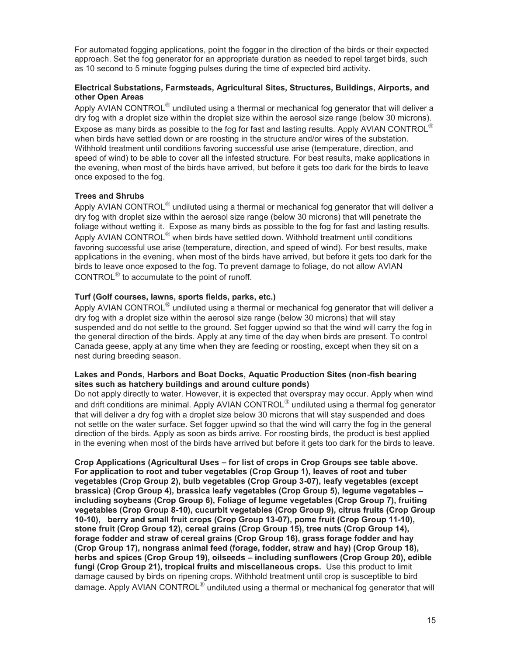For automated fogging applications, point the fogger in the direction of the birds or their expected approach. Set the fog generator for an appropriate duration as needed to repel target birds, such as 10 second to 5 minute fogging pulses during the time of expected bird activity.

#### **Electrical Substations, Farmsteads, Agricultural Sites, Structures, Buildings, Airports, and other Open Areas**

Apply AVIAN CONTROL $^{\circledR}$  undiluted using a thermal or mechanical fog generator that will deliver a dry fog with a droplet size within the droplet size within the aerosol size range (below 30 microns). Expose as many birds as possible to the fog for fast and lasting results. Apply AVIAN CONTROL $^{\circledR}$ when birds have settled down or are roosting in the structure and/or wires of the substation. Withhold treatment until conditions favoring successful use arise (temperature, direction, and speed of wind) to be able to cover all the infested structure. For best results, make applications in the evening, when most of the birds have arrived, but before it gets too dark for the birds to leave once exposed to the fog.

#### **Trees and Shrubs**

Apply AVIAN CONTROL $^{\circledR}$  undiluted using a thermal or mechanical fog generator that will deliver a dry fog with droplet size within the aerosol size range (below 30 microns) that will penetrate the foliage without wetting it. Expose as many birds as possible to the fog for fast and lasting results. Apply AVIAN CONTROL $^{\circledR}$  when birds have settled down. Withhold treatment until conditions favoring successful use arise (temperature, direction, and speed of wind). For best results, make applications in the evening, when most of the birds have arrived, but before it gets too dark for the birds to leave once exposed to the fog. To prevent damage to foliage, do not allow AVIAN CONTROL $<sup>®</sup>$  to accumulate to the point of runoff.</sup>

#### **Turf (Golf courses, lawns, sports fields, parks, etc.)**

Apply AVIAN CONTROL<sup>®</sup> undiluted using a thermal or mechanical fog generator that will deliver a dry fog with a droplet size within the aerosol size range (below 30 microns) that will stay suspended and do not settle to the ground. Set fogger upwind so that the wind will carry the fog in the general direction of the birds. Apply at any time of the day when birds are present. To control Canada geese, apply at any time when they are feeding or roosting, except when they sit on a nest during breeding season.

#### **Lakes and Ponds, Harbors and Boat Docks, Aquatic Production Sites (non-fish bearing sites such as hatchery buildings and around culture ponds)**

Do not apply directly to water. However, it is expected that overspray may occur. Apply when wind and drift conditions are minimal. Apply AVIAN CONTROL $^{\circledR}$  undiluted using a thermal fog generator that will deliver a dry fog with a droplet size below 30 microns that will stay suspended and does not settle on the water surface. Set fogger upwind so that the wind will carry the fog in the general direction of the birds. Apply as soon as birds arrive. For roosting birds, the product is best applied in the evening when most of the birds have arrived but before it gets too dark for the birds to leave.

**Crop Applications (Agricultural Uses – for list of crops in Crop Groups see table above. For application to root and tuber vegetables (Crop Group 1), leaves of root and tuber vegetables (Crop Group 2), bulb vegetables (Crop Group 3-07), leafy vegetables (except brassica) (Crop Group 4), brassica leafy vegetables (Crop Group 5), legume vegetables – including soybeans (Crop Group 6), Foliage of legume vegetables (Crop Group 7), fruiting vegetables (Crop Group 8-10), cucurbit vegetables (Crop Group 9), citrus fruits (Crop Group 10-10), berry and small fruit crops (Crop Group 13-07), pome fruit (Crop Group 11-10), stone fruit (Crop Group 12), cereal grains (Crop Group 15), tree nuts (Crop Group 14), forage fodder and straw of cereal grains (Crop Group 16), grass forage fodder and hay (Crop Group 17), nongrass animal feed (forage, fodder, straw and hay) (Crop Group 18), herbs and spices (Crop Group 19), oilseeds – including sunflowers (Crop Group 20), edible fungi (Crop Group 21), tropical fruits and miscellaneous crops.** Use this product to limit damage caused by birds on ripening crops. Withhold treatment until crop is susceptible to bird damage. Apply AVIAN CONTROL $^{\circledR}$  undiluted using a thermal or mechanical fog generator that will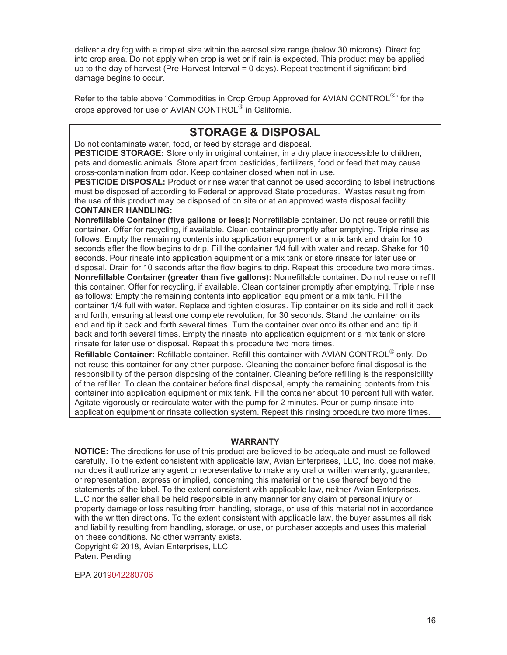deliver a dry fog with a droplet size within the aerosol size range (below 30 microns). Direct fog into crop area. Do not apply when crop is wet or if rain is expected. This product may be applied up to the day of harvest (Pre-Harvest Interval = 0 days). Repeat treatment if significant bird damage begins to occur.

Refer to the table above "Commodities in Crop Group Approved for AVIAN CONTROL<sup>®</sup>" for the crops approved for use of AVIAN CONTROL® in California.

## **STORAGE & DISPOSAL**

Do not contaminate water, food, or feed by storage and disposal.

**PESTICIDE STORAGE:** Store only in original container, in a dry place inaccessible to children, pets and domestic animals. Store apart from pesticides, fertilizers, food or feed that may cause cross-contamination from odor. Keep container closed when not in use.

**PESTICIDE DISPOSAL:** Product or rinse water that cannot be used according to label instructions must be disposed of according to Federal or approved State procedures. Wastes resulting from the use of this product may be disposed of on site or at an approved waste disposal facility. **CONTAINER HANDLING:** 

**Nonrefillable Container (five gallons or less):** Nonrefillable container. Do not reuse or refill this container. Offer for recycling, if available. Clean container promptly after emptying. Triple rinse as follows: Empty the remaining contents into application equipment or a mix tank and drain for 10 seconds after the flow begins to drip. Fill the container 1/4 full with water and recap. Shake for 10 seconds. Pour rinsate into application equipment or a mix tank or store rinsate for later use or disposal. Drain for 10 seconds after the flow begins to drip. Repeat this procedure two more times. **Nonrefillable Container (greater than five gallons):** Nonrefillable container. Do not reuse or refill this container. Offer for recycling, if available. Clean container promptly after emptying. Triple rinse as follows: Empty the remaining contents into application equipment or a mix tank. Fill the container 1/4 full with water. Replace and tighten closures. Tip container on its side and roll it back and forth, ensuring at least one complete revolution, for 30 seconds. Stand the container on its end and tip it back and forth several times. Turn the container over onto its other end and tip it back and forth several times. Empty the rinsate into application equipment or a mix tank or store rinsate for later use or disposal. Repeat this procedure two more times.

**Refillable Container:** Refillable container. Refill this container with AVIAN CONTROL® only. Do not reuse this container for any other purpose. Cleaning the container before final disposal is the responsibility of the person disposing of the container. Cleaning before refilling is the responsibility of the refiller. To clean the container before final disposal, empty the remaining contents from this container into application equipment or mix tank. Fill the container about 10 percent full with water. Agitate vigorously or recirculate water with the pump for 2 minutes. Pour or pump rinsate into application equipment or rinsate collection system. Repeat this rinsing procedure two more times.

#### **WARRANTY**

**NOTICE:** The directions for use of this product are believed to be adequate and must be followed carefully. To the extent consistent with applicable law, Avian Enterprises, LLC, Inc. does not make, nor does it authorize any agent or representative to make any oral or written warranty, guarantee, or representation, express or implied, concerning this material or the use thereof beyond the statements of the label. To the extent consistent with applicable law, neither Avian Enterprises, LLC nor the seller shall be held responsible in any manner for any claim of personal injury or property damage or loss resulting from handling, storage, or use of this material not in accordance with the written directions. To the extent consistent with applicable law, the buyer assumes all risk and liability resulting from handling, storage, or use, or purchaser accepts and uses this material on these conditions. No other warranty exists.

Copyright © 2018, Avian Enterprises, LLC Patent Pending

EPA 2019042280706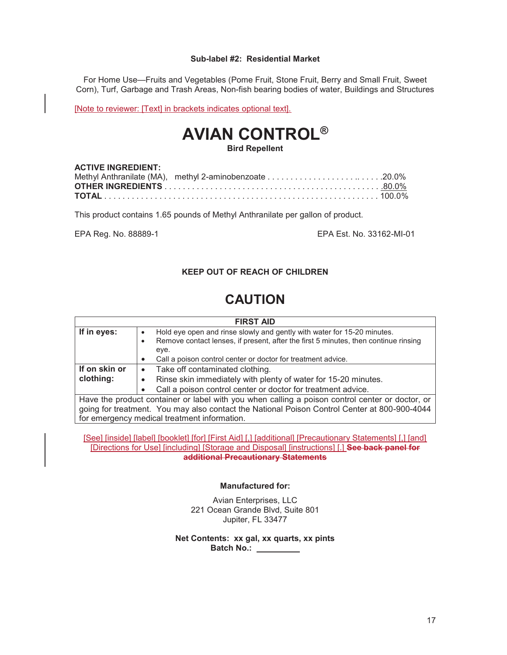#### **Sub-label #2: Residential Market**

For Home Use—Fruits and Vegetables (Pome Fruit, Stone Fruit, Berry and Small Fruit, Sweet Corn), Turf, Garbage and Trash Areas, Non-fish bearing bodies of water, Buildings and Structures

[Note to reviewer: [Text] in brackets indicates optional text].

# **AVIAN CONTROL®**

#### **Bird Repellent**

#### **ACTIVE INGREDIENT:**

This product contains 1.65 pounds of Methyl Anthranilate per gallon of product.

EPA Reg. No. 88889-1 EPA Est. No. 33162-MI-01

#### **KEEP OUT OF REACH OF CHILDREN**

# **CAUTION**

| <b>FIRST AID</b>                                                                                |                                                                                     |
|-------------------------------------------------------------------------------------------------|-------------------------------------------------------------------------------------|
| If in eyes:                                                                                     | Hold eye open and rinse slowly and gently with water for 15-20 minutes.             |
|                                                                                                 | Remove contact lenses, if present, after the first 5 minutes, then continue rinsing |
|                                                                                                 | eye.                                                                                |
|                                                                                                 | Call a poison control center or doctor for treatment advice.<br>$\bullet$           |
| If on skin or                                                                                   | Take off contaminated clothing.<br>$\bullet$                                        |
| clothing:                                                                                       | Rinse skin immediately with plenty of water for 15-20 minutes.<br>$\bullet$         |
|                                                                                                 | Call a poison control center or doctor for treatment advice.                        |
| Have the product container or label with you when calling a poison control center or doctor, or |                                                                                     |
| going for treatment. You may also contact the National Poison Control Center at 800-900-4044    |                                                                                     |
| for emergency medical treatment information.                                                    |                                                                                     |

[See] [inside] [label] [booklet] [for] [First Aid] [,] [additional] [Precautionary Statements] [,] [and] [Directions for Use] [including] [Storage and Disposal] [instructions] [.] **See back panel for additional Precautionary Statements** 

#### **Manufactured for:**

Avian Enterprises, LLC 221 Ocean Grande Blvd, Suite 801 Jupiter, FL 33477

**Net Contents: xx gal, xx quarts, xx pints Batch No.:**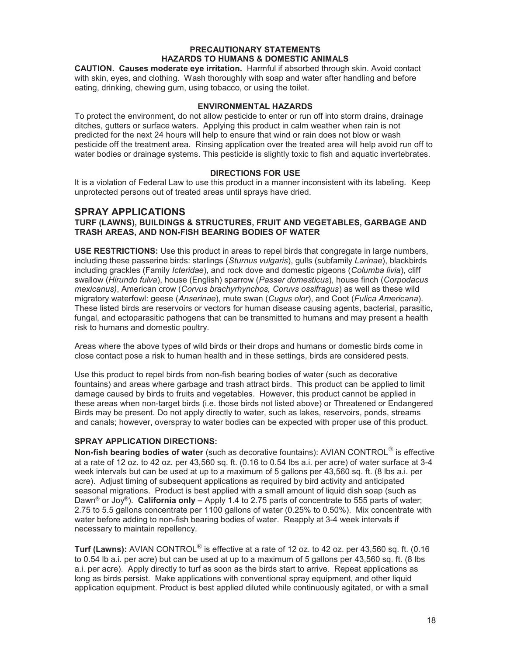#### **PRECAUTIONARY STATEMENTS HAZARDS TO HUMANS & DOMESTIC ANIMALS**

**CAUTION. Causes moderate eye irritation.** Harmful if absorbed through skin. Avoid contact with skin, eyes, and clothing. Wash thoroughly with soap and water after handling and before eating, drinking, chewing gum, using tobacco, or using the toilet.

#### **ENVIRONMENTAL HAZARDS**

To protect the environment, do not allow pesticide to enter or run off into storm drains, drainage ditches, gutters or surface waters. Applying this product in calm weather when rain is not predicted for the next 24 hours will help to ensure that wind or rain does not blow or wash pesticide off the treatment area. Rinsing application over the treated area will help avoid run off to water bodies or drainage systems. This pesticide is slightly toxic to fish and aquatic invertebrates.

#### **DIRECTIONS FOR USE**

It is a violation of Federal Law to use this product in a manner inconsistent with its labeling. Keep unprotected persons out of treated areas until sprays have dried.

#### **SPRAY APPLICATIONS**

#### **TURF (LAWNS), BUILDINGS & STRUCTURES, FRUIT AND VEGETABLES, GARBAGE AND TRASH AREAS, AND NON-FISH BEARING BODIES OF WATER**

**USE RESTRICTIONS:** Use this product in areas to repel birds that congregate in large numbers, including these passerine birds: starlings (*Sturnus vulgaris*), gulls (subfamily *Larinae*), blackbirds including grackles (Family *Icteridae*), and rock dove and domestic pigeons (*Columba livia*), cliff swallow (*Hirundo fulva*), house (English) sparrow (*Passer domesticus*), house finch (*Corpodacus mexicanus)*, American crow (*Corvus brachyrhynchos, Coruvs ossifragus*) as well as these wild migratory waterfowl: geese (*Anserinae*), mute swan (*Cugus olor*), and Coot (*Fulica Americana*). These listed birds are reservoirs or vectors for human disease causing agents, bacterial, parasitic, fungal, and ectoparasitic pathogens that can be transmitted to humans and may present a health risk to humans and domestic poultry.

Areas where the above types of wild birds or their drops and humans or domestic birds come in close contact pose a risk to human health and in these settings, birds are considered pests.

Use this product to repel birds from non-fish bearing bodies of water (such as decorative fountains) and areas where garbage and trash attract birds. This product can be applied to limit damage caused by birds to fruits and vegetables. However, this product cannot be applied in these areas when non-target birds (i.e. those birds not listed above) or Threatened or Endangered Birds may be present. Do not apply directly to water, such as lakes, reservoirs, ponds, streams and canals; however, overspray to water bodies can be expected with proper use of this product.

#### **SPRAY APPLICATION DIRECTIONS:**

**Non-fish bearing bodies of water** (such as decorative fountains): AVIAN CONTROL® is effective at a rate of 12 oz. to 42 oz. per 43,560 sq. ft. (0.16 to 0.54 lbs a.i. per acre) of water surface at 3-4 week intervals but can be used at up to a maximum of 5 gallons per 43,560 sq. ft. (8 lbs a.i. per acre). Adjust timing of subsequent applications as required by bird activity and anticipated seasonal migrations. Product is best applied with a small amount of liquid dish soap (such as Dawn® or Joy®). **California only –** Apply 1.4 to 2.75 parts of concentrate to 555 parts of water; 2.75 to 5.5 gallons concentrate per 1100 gallons of water (0.25% to 0.50%). Mix concentrate with water before adding to non-fish bearing bodies of water. Reapply at 3-4 week intervals if necessary to maintain repellency.

**Turf (Lawns):** AVIAN CONTROL® is effective at a rate of 12 oz. to 42 oz. per 43,560 sq. ft. (0.16 to 0.54 lb a.i. per acre) but can be used at up to a maximum of 5 gallons per 43,560 sq. ft. (8 lbs a.i. per acre). Apply directly to turf as soon as the birds start to arrive. Repeat applications as long as birds persist. Make applications with conventional spray equipment, and other liquid application equipment. Product is best applied diluted while continuously agitated, or with a small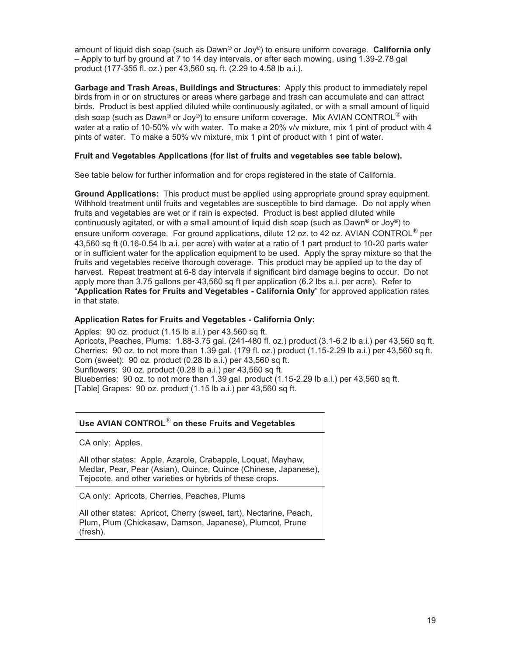amount of liquid dish soap (such as Dawn® or Joy®) to ensure uniform coverage. **California only** – Apply to turf by ground at 7 to 14 day intervals, or after each mowing, using 1.39-2.78 gal product (177-355 fl. oz.) per 43,560 sq. ft. (2.29 to 4.58 lb a.i.).

**Garbage and Trash Areas, Buildings and Structures**: Apply this product to immediately repel birds from in or on structures or areas where garbage and trash can accumulate and can attract birds. Product is best applied diluted while continuously agitated, or with a small amount of liquid dish soap (such as Dawn® or Joy®) to ensure uniform coverage.Mix AVIAN CONTROL® with water at a ratio of 10-50% v/v with water. To make a 20% v/v mixture, mix 1 pint of product with 4 pints of water. To make a 50% v/v mixture, mix 1 pint of product with 1 pint of water.

#### **Fruit and Vegetables Applications (for list of fruits and vegetables see table below).**

See table below for further information and for crops registered in the state of California.

**Ground Applications:** This product must be applied using appropriate ground spray equipment. Withhold treatment until fruits and vegetables are susceptible to bird damage. Do not apply when fruits and vegetables are wet or if rain is expected. Product is best applied diluted while continuously agitated, or with a small amount of liquid dish soap (such as Dawn<sup>®</sup> or Joy<sup>®</sup>) to ensure uniform coverage.For ground applications, dilute 12 oz. to 42 oz. AVIAN CONTROL® per 43,560 sq ft (0.16-0.54 lb a.i. per acre) with water at a ratio of 1 part product to 10-20 parts water or in sufficient water for the application equipment to be used. Apply the spray mixture so that the fruits and vegetables receive thorough coverage. This product may be applied up to the day of harvest. Repeat treatment at 6-8 day intervals if significant bird damage begins to occur. Do not apply more than 3.75 gallons per 43,560 sq ft per application (6.2 lbs a.i. per acre). Refer to "**Application Rates for Fruits and Vegetables - California Only**" for approved application rates in that state.

#### **Application Rates for Fruits and Vegetables - California Only:**

Apples: 90 oz. product (1.15 lb a.i.) per 43,560 sq ft. Apricots, Peaches, Plums: 1.88-3.75 gal. (241-480 fl. oz.) product (3.1-6.2 lb a.i.) per 43,560 sq ft. Cherries: 90 oz. to not more than 1.39 gal. (179 fl. oz.) product (1.15-2.29 lb a.i.) per 43,560 sq ft. Corn (sweet): 90 oz. product (0.28 lb a.i.) per 43,560 sq ft. Sunflowers: 90 oz. product (0.28 lb a.i.) per 43,560 sq ft. Blueberries:  $90$  oz. to not more than 1.39 gal. product  $(1.15-2.29$  lb a.i.) per  $43,560$  sq ft. [Table] Grapes: 90 oz. product (1.15 lb a.i.) per 43,560 sq ft.

#### **Use AVIAN CONTROL**® **on these Fruits and Vegetables**

CA only: Apples.

All other states: Apple, Azarole, Crabapple, Loquat, Mayhaw, Medlar, Pear, Pear (Asian), Quince, Quince (Chinese, Japanese), Tejocote, and other varieties or hybrids of these crops.

CA only: Apricots, Cherries, Peaches, Plums

All other states: Apricot, Cherry (sweet, tart), Nectarine, Peach, Plum, Plum (Chickasaw, Damson, Japanese), Plumcot, Prune (fresh).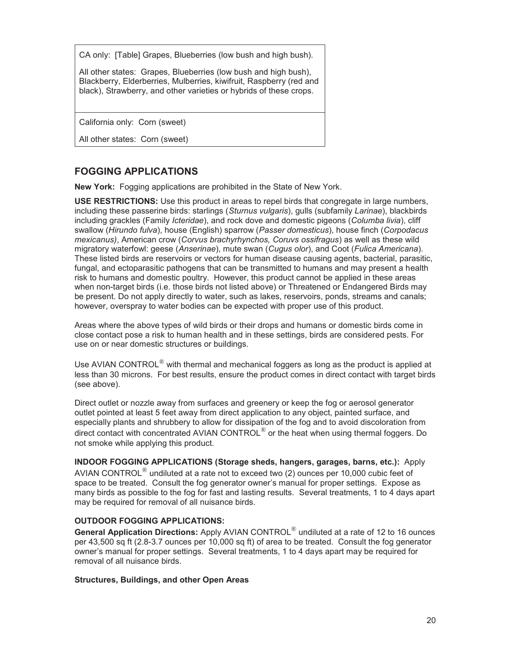CA only: [Table] Grapes, Blueberries (low bush and high bush).

All other states: Grapes, Blueberries (low bush and high bush), Blackberry, Elderberries, Mulberries, kiwifruit, Raspberry (red and black), Strawberry, and other varieties or hybrids of these crops.

California only: Corn (sweet)

All other states: Corn (sweet)

### **FOGGING APPLICATIONS**

**New York:** Fogging applications are prohibited in the State of New York.

**USE RESTRICTIONS:** Use this product in areas to repel birds that congregate in large numbers, including these passerine birds: starlings (*Sturnus vulgaris*), gulls (subfamily *Larinae*), blackbirds including grackles (Family *Icteridae*), and rock dove and domestic pigeons (*Columba livia*), cliff swallow (*Hirundo fulva*), house (English) sparrow (*Passer domesticus*), house finch (*Corpodacus mexicanus)*, American crow (*Corvus brachyrhynchos, Coruvs ossifragus*) as well as these wild migratory waterfowl: geese (*Anserinae*), mute swan (*Cugus olor*), and Coot (*Fulica Americana*). These listed birds are reservoirs or vectors for human disease causing agents, bacterial, parasitic, fungal, and ectoparasitic pathogens that can be transmitted to humans and may present a health risk to humans and domestic poultry. However, this product cannot be applied in these areas when non-target birds (i.e. those birds not listed above) or Threatened or Endangered Birds may be present. Do not apply directly to water, such as lakes, reservoirs, ponds, streams and canals; however, overspray to water bodies can be expected with proper use of this product.

Areas where the above types of wild birds or their drops and humans or domestic birds come in close contact pose a risk to human health and in these settings, birds are considered pests. For use on or near domestic structures or buildings.

Use AVIAN CONTROL<sup>®</sup> with thermal and mechanical foggers as long as the product is applied at less than 30 microns. For best results, ensure the product comes in direct contact with target birds (see above).

Direct outlet or nozzle away from surfaces and greenery or keep the fog or aerosol generator outlet pointed at least 5 feet away from direct application to any object, painted surface, and especially plants and shrubbery to allow for dissipation of the fog and to avoid discoloration from direct contact with concentrated AVIAN CONTROL $^{\circledR}$  or the heat when using thermal foggers. Do not smoke while applying this product.

**INDOOR FOGGING APPLICATIONS (Storage sheds, hangers, garages, barns, etc.):** Apply AVIAN CONTROL<sup>®</sup> undiluted at a rate not to exceed two (2) ounces per 10,000 cubic feet of space to be treated. Consult the fog generator owner's manual for proper settings. Expose as many birds as possible to the fog for fast and lasting results. Several treatments, 1 to 4 days apart may be required for removal of all nuisance birds.

#### **OUTDOOR FOGGING APPLICATIONS:**

**General Application Directions:** Apply AVIAN CONTROL® undiluted at a rate of 12 to 16 ounces per 43,500 sq ft (2.8-3.7 ounces per 10,000 sq ft) of area to be treated. Consult the fog generator owner's manual for proper settings. Several treatments, 1 to 4 days apart may be required for removal of all nuisance birds.

#### **Structures, Buildings, and other Open Areas**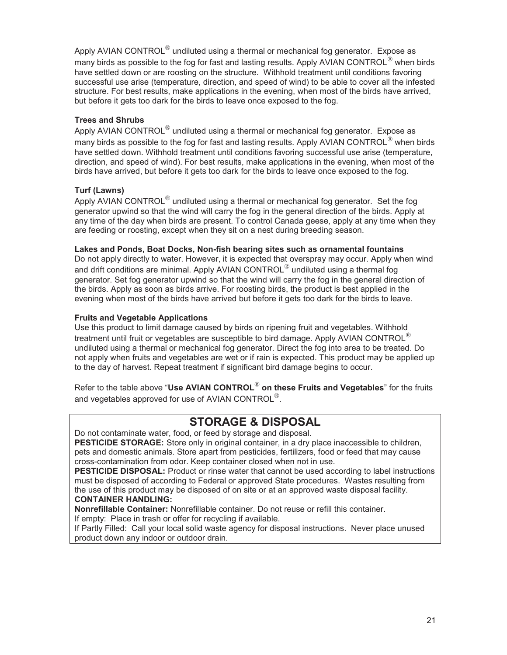Apply AVIAN CONTROL<sup>®</sup> undiluted using a thermal or mechanical fog generator. Expose as many birds as possible to the fog for fast and lasting results. Apply AVIAN CONTROL<sup>®</sup> when birds have settled down or are roosting on the structure. Withhold treatment until conditions favoring successful use arise (temperature, direction, and speed of wind) to be able to cover all the infested structure. For best results, make applications in the evening, when most of the birds have arrived, but before it gets too dark for the birds to leave once exposed to the fog.

#### **Trees and Shrubs**

Apply AVIAN CONTROL $^{\circledR}$  undiluted using a thermal or mechanical fog generator. Expose as many birds as possible to the fog for fast and lasting results. Apply AVIAN CONTROL<sup>®</sup> when birds have settled down. Withhold treatment until conditions favoring successful use arise (temperature, direction, and speed of wind). For best results, make applications in the evening, when most of the birds have arrived, but before it gets too dark for the birds to leave once exposed to the fog.

#### **Turf (Lawns)**

Apply AVIAN CONTROL $^{\circledR}$  undiluted using a thermal or mechanical fog generator. Set the fog generator upwind so that the wind will carry the fog in the general direction of the birds. Apply at any time of the day when birds are present. To control Canada geese, apply at any time when they are feeding or roosting, except when they sit on a nest during breeding season.

#### **Lakes and Ponds, Boat Docks, Non-fish bearing sites such as ornamental fountains**

Do not apply directly to water. However, it is expected that overspray may occur. Apply when wind and drift conditions are minimal. Apply AVIAN CONTROL $^{\circledR}$  undiluted using a thermal fog generator. Set fog generator upwind so that the wind will carry the fog in the general direction of the birds. Apply as soon as birds arrive. For roosting birds, the product is best applied in the evening when most of the birds have arrived but before it gets too dark for the birds to leave.

#### **Fruits and Vegetable Applications**

Use this product to limit damage caused by birds on ripening fruit and vegetables. Withhold treatment until fruit or vegetables are susceptible to bird damage. Apply AVIAN CONTROL<sup>®</sup> undiluted using a thermal or mechanical fog generator. Direct the fog into area to be treated. Do not apply when fruits and vegetables are wet or if rain is expected. This product may be applied up to the day of harvest. Repeat treatment if significant bird damage begins to occur.

Refer to the table above "**Use AVIAN CONTROL**® **on these Fruits and Vegetables**" for the fruits and vegetables approved for use of AVIAN CONTROL®.

## **STORAGE & DISPOSAL**

Do not contaminate water, food, or feed by storage and disposal.

**PESTICIDE STORAGE:** Store only in original container, in a dry place inaccessible to children, pets and domestic animals. Store apart from pesticides, fertilizers, food or feed that may cause cross-contamination from odor. Keep container closed when not in use.

**PESTICIDE DISPOSAL:** Product or rinse water that cannot be used according to label instructions must be disposed of according to Federal or approved State procedures. Wastes resulting from the use of this product may be disposed of on site or at an approved waste disposal facility. **CONTAINER HANDLING:** 

**Nonrefillable Container:** Nonrefillable container. Do not reuse or refill this container.

If empty: Place in trash or offer for recycling if available.

If Partly Filled: Call your local solid waste agency for disposal instructions. Never place unused product down any indoor or outdoor drain.